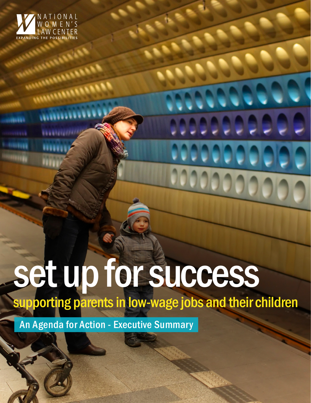

**MARIAN AND LESSEE** 

**MARIANA ARABARA** 

*<u><u>INTHURSILIAN</u>*</u>

..............

**ERRATECISTIC** 

111111

**FEEDER** 

# set up for success

supporting parents in low-wage jobs and their children

0000000

000000000

An Agenda for Action - Executive Summary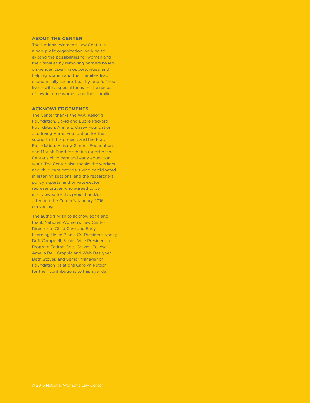#### **ABOUT THE CENTER**

The National Women's Law Center is a non-profit organization working to expand the possibilities for women and their families by removing barriers based on gender, opening opportunities, and helping women and their families lead economically secure, healthy, and fulfilled lives—with a special focus on the needs of low-income women and their families.

#### **ACKNOWLEDGEMENTS**

The Center thanks the W.K. Kellogg Foundation, David and Lucile Packard Foundation, Annie E. Casey Foundation, and Irving Harris Foundation for their support of this project, and the Ford Foundation, Heising-Simons Foundation, and Moriah Fund for their support of the Center's child care and early education work. The Center also thanks the workers and child care providers who participated in listening sessions, and the researchers, policy experts, and private-sector representatives who agreed to be interviewed for this project and/or attended the Center's January 2016 convening.

The authors wish to acknowledge and thank National Women's Law Center Director of Child Care and Early Learning Helen Blank, Co-President Nancy Duff Campbell, Senior Vice President for Program Fatima Goss Graves, Fellow Amelia Bell, Graphic and Web Designer Beth Stover, and Senior Manager of Foundation Relations Carolyn Rutsch for their contributions to this agenda.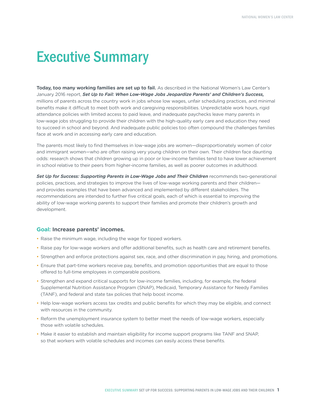# Executive Summary

**Today, too many working families are set up to fail.** As described in the National Women's Law Center's January 2016 report, *Set Up to Fail: When Low-Wage Jobs Jeopardize Parents' and Children's Success,*  millions of parents across the country work in jobs whose low wages, unfair scheduling practices, and minimal benefits make it difficult to meet both work and caregiving responsibilities. Unpredictable work hours, rigid attendance policies with limited access to paid leave, and inadequate paychecks leave many parents in low-wage jobs struggling to provide their children with the high-quality early care and education they need to succeed in school and beyond. And inadequate public policies too often compound the challenges families face at work and in accessing early care and education.

The parents most likely to find themselves in low-wage jobs are women—disproportionately women of color and immigrant women—who are often raising very young children on their own. Their children face daunting odds: research shows that children growing up in poor or low-income families tend to have lower achievement in school relative to their peers from higher-income families, as well as poorer outcomes in adulthood.

*Set Up for Success: Supporting Parents in Low-Wage Jobs and Their Children* recommends two-generational policies, practices, and strategies to improve the lives of low-wage working parents and their children and provides examples that have been advanced and implemented by different stakeholders. The recommendations are intended to further five critical goals, each of which is essential to improving the ability of low-wage working parents to support their families and promote their children's growth and development.

## **Goal: Increase parents' incomes.**

- Raise the minimum wage, including the wage for tipped workers.
- Raise pay for low-wage workers and offer additional benefits, such as health care and retirement benefits.
- Strengthen and enforce protections against sex, race, and other discrimination in pay, hiring, and promotions.
- Ensure that part-time workers receive pay, benefits, and promotion opportunities that are equal to those offered to full-time employees in comparable positions.
- Strengthen and expand critical supports for low-income families, including, for example, the federal Supplemental Nutrition Assistance Program (SNAP), Medicaid, Temporary Assistance for Needy Families (TANF), and federal and state tax policies that help boost income.
- Help low-wage workers access tax credits and public benefits for which they may be eligible, and connect with resources in the community.
- Reform the unemployment insurance system to better meet the needs of low-wage workers, especially those with volatile schedules.
- Make it easier to establish and maintain eligibility for income support programs like TANF and SNAP, so that workers with volatile schedules and incomes can easily access these benefits.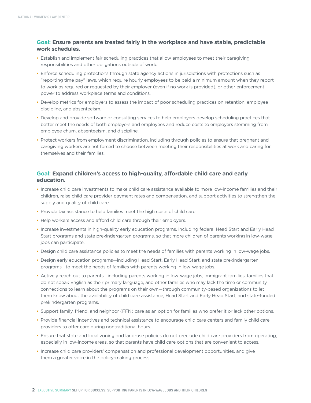# **Goal: Ensure parents are treated fairly in the workplace and have stable, predictable work schedules.**

- Establish and implement fair scheduling practices that allow employees to meet their caregiving responsibilities and other obligations outside of work.
- Enforce scheduling protections through state agency actions in jurisdictions with protections such as "reporting time pay" laws, which require hourly employees to be paid a minimum amount when they report to work as required or requested by their employer (even if no work is provided), or other enforcement power to address workplace terms and conditions.
- • Develop metrics for employers to assess the impact of poor scheduling practices on retention, employee discipline, and absenteeism.
- Develop and provide software or consulting services to help employers develop scheduling practices that better meet the needs of both employers and employees and reduce costs to employers stemming from employee churn, absenteeism, and discipline.
- Protect workers from employment discrimination, including through policies to ensure that pregnant and caregiving workers are not forced to choose between meeting their responsibilities at work and caring for themselves and their families.

# **Goal: Expand children's access to high-quality, affordable child care and early education.**

- Increase child care investments to make child care assistance available to more low-income families and their children, raise child care provider payment rates and compensation, and support activities to strengthen the supply and quality of child care.
- Provide tax assistance to help families meet the high costs of child care.
- Help workers access and afford child care through their employers.
- • Increase investments in high-quality early education programs, including federal Head Start and Early Head Start programs and state prekindergarten programs, so that more children of parents working in low-wage jobs can participate.
- Design child care assistance policies to meet the needs of families with parents working in low-wage jobs.
- • Design early education programs—including Head Start, Early Head Start, and state prekindergarten programs—to meet the needs of families with parents working in low-wage jobs.
- • Actively reach out to parents—including parents working in low-wage jobs, immigrant families, families that do not speak English as their primary language, and other families who may lack the time or community connections to learn about the programs on their own—through community-based organizations to let them know about the availability of child care assistance, Head Start and Early Head Start, and state-funded prekindergarten programs.
- Support family, friend, and neighbor (FFN) care as an option for families who prefer it or lack other options.
- Provide financial incentives and technical assistance to encourage child care centers and family child care providers to offer care during nontraditional hours.
- Ensure that state and local zoning and land-use policies do not preclude child care providers from operating, especially in low-income areas, so that parents have child care options that are convenient to access.
- Increase child care providers' compensation and professional development opportunities, and give them a greater voice in the policy-making process.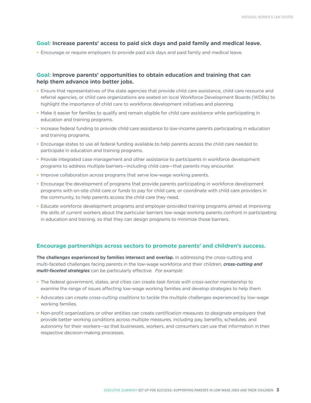### **Goal: Increase parents' access to paid sick days and paid family and medical leave.**

• Encourage or require employers to provide paid sick days and paid family and medical leave.

# **Goal: Improve parents' opportunities to obtain education and training that can help them advance into better jobs.**

- Ensure that representatives of the state agencies that provide child care assistance, child care resource and referral agencies, or child care organizations are seated on local Workforce Development Boards (WDBs) to highlight the importance of child care to workforce development initiatives and planning.
- Make it easier for families to qualify and remain eligible for child care assistance while participating in education and training programs.
- Increase federal funding to provide child care assistance to low-income parents participating in education and training programs.
- Encourage states to use all federal funding available to help parents access the child care needed to participate in education and training programs.
- Provide integrated case management and other assistance to participants in workforce development programs to address multiple barriers—including child care—that parents may encounter.
- Improve collaboration across programs that serve low-wage working parents.
- Encourage the development of programs that provide parents participating in workforce development programs with on-site child care or funds to pay for child care, or coordinate with child care providers in the community, to help parents access the child care they need.
- Educate workforce development programs and employer-provided training programs aimed at improving the skills of current workers about the particular barriers low-wage working parents confront in participating in education and training, so that they can design programs to minimize those barriers.

#### **Encourage partnerships across sectors to promote parents' and children's success.**

**The challenges experienced by families intersect and overlap.** In addressing the cross-cutting and multi-faceted challenges facing parents in the low-wage workforce and their children, *cross-cutting and multi-faceted strategies* can be particularly effective. *For example:*

- • The federal government, states, and cities can create *task forces with cross-sector membership* to examine the range of issues affecting low-wage working families and develop strategies to help them.
- • Advocates can create *cross-cutting coalitions* to tackle the multiple challenges experienced by low-wage working families.
- Non-profit organizations or other entities can create *certification measures to designate employers* that provide better working conditions across multiple measures, including pay, benefits, schedules, and autonomy for their workers—so that businesses, workers, and consumers can use that information in their respective decision-making processes.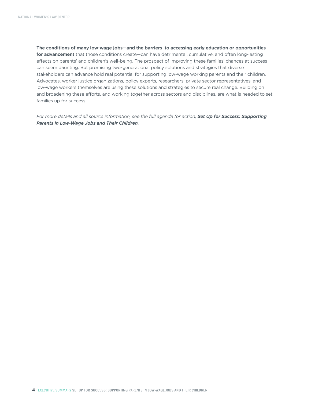**The conditions of many low-wage jobs—and the barriers to accessing early education or opportunities for advancement** that those conditions create—can have detrimental, cumulative, and often long-lasting effects on parents' and children's well-being. The prospect of improving these families' chances at success can seem daunting. But promising two-generational policy solutions and strategies that diverse stakeholders can advance hold real potential for supporting low-wage working parents and their children. Advocates, worker justice organizations, policy experts, researchers, private sector representatives, and low-wage workers themselves are using these solutions and strategies to secure real change. Building on and broadening these efforts, and working together across sectors and disciplines, are what is needed to set families up for success.

*For more details and all source information, see the full agenda for action, Set Up for Success: Supporting Parents in Low-Wage Jobs and Their Children.*